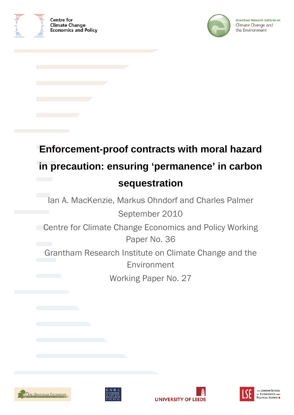



Grantham Research Institute on Climate Change and the Environment

# **Enforcement-proof contracts with moral hazard in precaution: ensuring 'permanence' in carbon sequestration**

Ian A. MacKenzie, Markus Ohndorf and Charles Palmer September 2010

**Centre for Climate Change Economics and Policy Working** Paper No. 36

Grantham Research Institute on Climate Change and the Environment

Working Paper No. 27







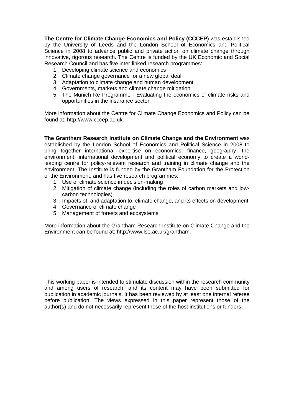**The Centre for Climate Change Economics and Policy (CCCEP)** was established by the University of Leeds and the London School of Economics and Political Science in 2008 to advance public and private action on climate change through innovative, rigorous research. The Centre is funded by the UK Economic and Social Research Council and has five inter-linked research programmes:

- 1. Developing climate science and economics
- 2. Climate change governance for a new global deal
- 3. Adaptation to climate change and human development
- 4. Governments, markets and climate change mitigation
- 5. The Munich Re Programme Evaluating the economics of climate risks and opportunities in the insurance sector

More information about the Centre for Climate Change Economics and Policy can be found at: http://www.cccep.ac.uk.

**The Grantham Research Institute on Climate Change and the Environment** was established by the London School of Economics and Political Science in 2008 to bring together international expertise on economics, finance, geography, the environment, international development and political economy to create a worldleading centre for policy-relevant research and training in climate change and the environment. The Institute is funded by the Grantham Foundation for the Protection of the Environment, and has five research programmes:

- 1. Use of climate science in decision-making
- 2. Mitigation of climate change (including the roles of carbon markets and lowcarbon technologies)
- 3. Impacts of, and adaptation to, climate change, and its effects on development
- 4. Governance of climate change
- 5. Management of forests and ecosystems

More information about the Grantham Research Institute on Climate Change and the Environment can be found at: http://www.lse.ac.uk/grantham.

This working paper is intended to stimulate discussion within the research community and among users of research, and its content may have been submitted for publication in academic journals. It has been reviewed by at least one internal referee before publication. The views expressed in this paper represent those of the author(s) and do not necessarily represent those of the host institutions or funders.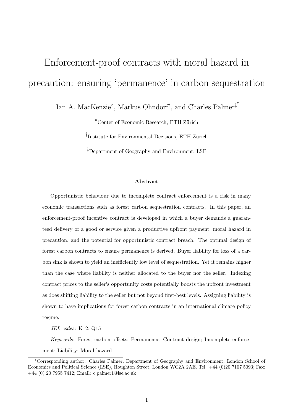## Enforcement-proof contracts with moral hazard in precaution: ensuring 'permanence' in carbon sequestration

Ian A. MacKenzie<sup>®</sup>, Markus Ohndorf<sup>†</sup>, and Charles Palmer<sup>‡\*</sup>

 $^{\circ}$ Center of Economic Research, ETH Zürich

<sup>T</sup>Institute for Environmental Decisions, ETH Zürich

<sup>‡</sup>Department of Geography and Environment, LSE

#### Abstract

Opportunistic behaviour due to incomplete contract enforcement is a risk in many economic transactions such as forest carbon sequestration contracts. In this paper, an enforcement-proof incentive contract is developed in which a buyer demands a guaranteed delivery of a good or service given a productive upfront payment, moral hazard in precaution, and the potential for opportunistic contract breach. The optimal design of forest carbon contracts to ensure permanence is derived. Buyer liability for loss of a carbon sink is shown to yield an inefficiently low level of sequestration. Yet it remains higher than the case where liability is neither allocated to the buyer nor the seller. Indexing contract prices to the seller's opportunity costs potentially boosts the upfront investment as does shifting liability to the seller but not beyond first-best levels. Assigning liability is shown to have implications for forest carbon contracts in an international climate policy regime.

JEL codes: K12; Q15

Keywords: Forest carbon offsets; Permanence; Contract design; Incomplete enforcement; Liability; Moral hazard

<sup>∗</sup>Corresponding author: Charles Palmer, Department of Geography and Environment, London School of Economics and Political Science (LSE), Houghton Street, London WC2A 2AE. Tel: +44 (0)20 7107 5093; Fax: +44 (0) 20 7955 7412; Email: c.palmer1@lse.ac.uk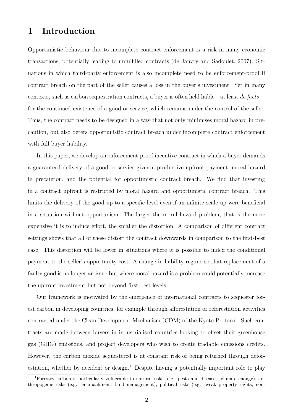### 1 Introduction

Opportunistic behaviour due to incomplete contract enforcement is a risk in many economic transactions, potentially leading to unfulfilled contracts (de Janvry and Sadoulet, 2007). Situations in which third-party enforcement is also incomplete need to be enforcement-proof if contract breach on the part of the seller causes a loss in the buyer's investment. Yet in many contexts, such as carbon sequestration contracts, a buyer is often held liable—at least *de facto* for the continued existence of a good or service, which remains under the control of the seller. Thus, the contract needs to be designed in a way that not only minimises moral hazard in precaution, but also deters opportunistic contract breach under incomplete contract enforcement with full buyer liability.

In this paper, we develop an enforcement-proof incentive contract in which a buyer demands a guaranteed delivery of a good or service given a productive upfront payment, moral hazard in precaution, and the potential for opportunistic contract breach. We find that investing in a contract upfront is restricted by moral hazard and opportunistic contract breach. This limits the delivery of the good up to a specific level even if an infinite scale-up were beneficial in a situation without opportunism. The larger the moral hazard problem, that is the more expensive it is to induce effort, the smaller the distortion. A comparison of different contract settings shows that all of these distort the contract downwards in comparison to the first-best case. This distortion will be lower in situations where it is possible to index the conditional payment to the seller's opportunity cost. A change in liability regime so that replacement of a faulty good is no longer an issue but where moral hazard is a problem could potentially increase the upfront investment but not beyond first-best levels.

Our framework is motivated by the emergence of international contracts to sequester forest carbon in developing countries, for example through afforestation or reforestation activities contracted under the Clean Development Mechanism (CDM) of the Kyoto Protocol. Such contracts are made between buyers in industrialised countries looking to offset their greenhouse gas (GHG) emissions, and project developers who wish to create tradable emissions credits. However, the carbon dioxide sequestered is at constant risk of being returned through deforestation, whether by accident or design.<sup>1</sup> Despite having a potentially important role to play

<sup>1</sup>Forestry carbon is particularly vulnerable to natural risks (e.g. pests and diseases, climate change), anthropogenic risks (e.g. encroachment, land management), political risks (e.g. weak property rights, non-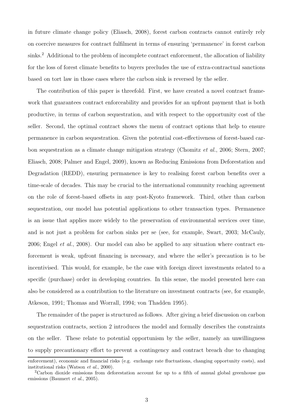in future climate change policy (Eliasch, 2008), forest carbon contracts cannot entirely rely on coercive measures for contract fulfilment in terms of ensuring 'permanence' in forest carbon sinks.<sup>2</sup> Additional to the problem of incomplete contract enforcement, the allocation of liability for the loss of forest climate benefits to buyers precludes the use of extra-contractual sanctions based on tort law in those cases where the carbon sink is reversed by the seller.

The contribution of this paper is threefold. First, we have created a novel contract framework that guarantees contract enforceability and provides for an upfront payment that is both productive, in terms of carbon sequestration, and with respect to the opportunity cost of the seller. Second, the optimal contract shows the menu of contract options that help to ensure permanence in carbon sequestration. Given the potential cost-effectiveness of forest-based carbon sequestration as a climate change mitigation strategy (Chomitz *et al.*, 2006; Stern, 2007; Eliasch, 2008; Palmer and Engel, 2009), known as Reducing Emissions from Deforestation and Degradation (REDD), ensuring permanence is key to realising forest carbon benefits over a time-scale of decades. This may be crucial to the international community reaching agreement on the role of forest-based offsets in any post-Kyoto framework. Third, other than carbon sequestration, our model has potential applications to other transaction types. Permanence is an issue that applies more widely to the preservation of environmental services over time, and is not just a problem for carbon sinks per se (see, for example, Swart, 2003; McCauly, 2006; Engel *et al.*, 2008). Our model can also be applied to any situation where contract enforcement is weak, upfront financing is necessary, and where the seller's precaution is to be incentivised. This would, for example, be the case with foreign direct investments related to a specific (purchase) order in developing countries. In this sense, the model presented here can also be considered as a contribution to the literature on investment contracts (see, for example, Atkeson, 1991; Thomas and Worrall, 1994; von Thadden 1995).

The remainder of the paper is structured as follows. After giving a brief discussion on carbon sequestration contracts, section 2 introduces the model and formally describes the constraints on the seller. These relate to potential opportunism by the seller, namely an unwillingness to supply precautionary effort to prevent a contingency and contract breach due to changing

enforcement), economic and financial risks (e.g. exchange rate fluctuations, changing opportunity costs), and institutional risks (Watson et al., 2000).

<sup>2</sup>Carbon dioxide emissions from deforestation account for up to a fifth of annual global greenhouse gas emissions (Baumert et al., 2005).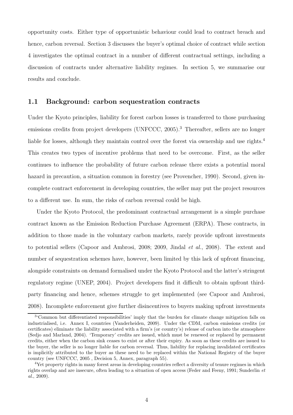opportunity costs. Either type of opportunistic behaviour could lead to contract breach and hence, carbon reversal. Section 3 discusses the buyer's optimal choice of contract while section 4 investigates the optimal contract in a number of different contractual settings, including a discussion of contracts under alternative liability regimes. In section 5, we summarise our results and conclude.

#### 1.1 Background: carbon sequestration contracts

Under the Kyoto principles, liability for forest carbon losses is transferred to those purchasing emissions credits from project developers (UNFCCC, 2005).<sup>3</sup> Thereafter, sellers are no longer liable for losses, although they maintain control over the forest via ownership and use rights.<sup>4</sup> This creates two types of incentive problems that need to be overcome. First, as the seller continues to influence the probability of future carbon release there exists a potential moral hazard in precaution, a situation common in forestry (see Provencher, 1990). Second, given incomplete contract enforcement in developing countries, the seller may put the project resources to a different use. In sum, the risks of carbon reversal could be high.

Under the Kyoto Protocol, the predominant contractual arrangement is a simple purchase contract known as the Emission Reduction Purchase Agreement (ERPA). These contracts, in addition to those made in the voluntary carbon markets, rarely provide upfront investments to potential sellers (Capoor and Ambrosi, 2008; 2009, Jindal *et al.*, 2008). The extent and number of sequestration schemes have, however, been limited by this lack of upfront financing, alongside constraints on demand formalised under the Kyoto Protocol and the latter's stringent regulatory regime (UNEP, 2004). Project developers find it difficult to obtain upfront thirdparty financing and hence, schemes struggle to get implemented (see Capoor and Ambrosi, 2008). Incomplete enforcement give further disincentives to buyers making upfront investments

<sup>&</sup>lt;sup>3</sup>'Common but differentiated responsibilities' imply that the burden for climate change mitigation falls on industrialised, i.e. Annex I, countries (Vanderheiden, 2009). Under the CDM, carbon emissions credits (or certificates) eliminate the liability associated with a firm's (or country's) release of carbon into the atmosphere (Sedjo and Marland, 2004). 'Temporary' credits are issued, which must be renewed or replaced by permanent credits, either when the carbon sink ceases to exist or after their expiry. As soon as these credits are issued to the buyer, the seller is no longer liable for carbon reversal. Thus, liability for replacing invalidated certificates is implicitly attributed to the buyer as these need to be replaced within the National Registry of the buyer country (see UNFCCC, 2005 , Decision 5, Annex, paragraph 55).

<sup>&</sup>lt;sup>4</sup>Yet property rights in many forest areas in developing countries reflect a diversity of tenure regimes in which rights overlap and are insecure, often leading to a situation of open access (Feder and Feeny, 1991; Sunderlin et al., 2009).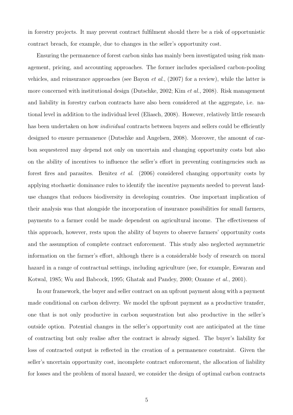in forestry projects. It may prevent contract fulfilment should there be a risk of opportunistic contract breach, for example, due to changes in the seller's opportunity cost.

Ensuring the permanence of forest carbon sinks has mainly been investigated using risk management, pricing, and accounting approaches. The former includes specialised carbon-pooling vehicles, and reinsurance approaches (see Bayon *et al.*, (2007) for a review), while the latter is more concerned with institutional design (Dutschke, 2002; Kim *et al.*, 2008). Risk management and liability in forestry carbon contracts have also been considered at the aggregate, i.e. national level in addition to the individual level (Eliasch, 2008). However, relatively little research has been undertaken on how *individual* contracts between buyers and sellers could be efficiently designed to ensure permanence (Dutschke and Angelsen, 2008). Moreover, the amount of carbon sequestered may depend not only on uncertain and changing opportunity costs but also on the ability of incentives to influence the seller's effort in preventing contingencies such as forest fires and parasites. Benitez *et al.* (2006) considered changing opportunity costs by applying stochastic dominance rules to identify the incentive payments needed to prevent landuse changes that reduces biodiversity in developing countries. One important implication of their analysis was that alongside the incorporation of insurance possibilities for small farmers, payments to a farmer could be made dependent on agricultural income. The effectiveness of this approach, however, rests upon the ability of buyers to observe farmers' opportunity costs and the assumption of complete contract enforcement. This study also neglected asymmetric information on the farmer's effort, although there is a considerable body of research on moral hazard in a range of contractual settings, including agriculture (see, for example, Eswaran and Kotwal, 1985; Wu and Babcock, 1995; Ghatak and Pandey, 2000; Ozanne *et al.*, 2001).

In our framework, the buyer and seller contract on an upfront payment along with a payment made conditional on carbon delivery. We model the upfront payment as a productive transfer, one that is not only productive in carbon sequestration but also productive in the seller's outside option. Potential changes in the seller's opportunity cost are anticipated at the time of contracting but only realise after the contract is already signed. The buyer's liability for loss of contracted output is reflected in the creation of a permanence constraint. Given the seller's uncertain opportunity cost, incomplete contract enforcement, the allocation of liability for losses and the problem of moral hazard, we consider the design of optimal carbon contracts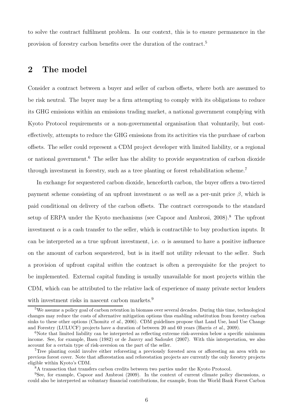to solve the contract fulfilment problem. In our context, this is to ensure permanence in the provision of forestry carbon benefits over the duration of the contract.<sup>5</sup>

## 2 The model

Consider a contract between a buyer and seller of carbon offsets, where both are assumed to be risk neutral. The buyer may be a firm attempting to comply with its obligations to reduce its GHG emissions within an emissions trading market, a national government complying with Kyoto Protocol requirements or a non-governmental organisation that voluntarily, but costeffectively, attempts to reduce the GHG emissions from its activities via the purchase of carbon offsets. The seller could represent a CDM project developer with limited liability, or a regional or national government.<sup>6</sup> The seller has the ability to provide sequestration of carbon dioxide through investment in forestry, such as a tree planting or forest rehabilitation scheme.<sup>7</sup>

In exchange for sequestered carbon dioxide, henceforth carbon, the buyer offers a two-tiered payment scheme consisting of an upfront investment  $\alpha$  as well as a per-unit price  $\beta$ , which is paid conditional on delivery of the carbon offsets. The contract corresponds to the standard setup of ERPA under the Kyoto mechanisms (see Capoor and Ambrosi, 2008).<sup>8</sup> The upfront investment  $\alpha$  is a cash transfer to the seller, which is contractible to buy production inputs. It can be interpreted as a true upfront investment, i.e.  $\alpha$  is assumed to have a positive influence on the amount of carbon sequestered, but is in itself not utility relevant to the seller. Such a provision of upfront capital *within* the contract is often a prerequisite for the project to be implemented. External capital funding is usually unavailable for most projects within the CDM, which can be attributed to the relative lack of experience of many private sector lenders with investment risks in nascent carbon markets.<sup>9</sup>

<sup>5</sup>We assume a policy goal of carbon retention in biomass over several decades. During this time, technological changes may reduce the costs of alternative mitigation options thus enabling substitution from forestry carbon sinks to these other options (Chomitz *et al.*, 2006). CDM guidelines propose that Land Use, land Use Change and Forestry (LULUCF) projects have a duration of between 20 and 60 years (Harris et al., 2009).

<sup>&</sup>lt;sup>6</sup>Note that limited liability can be interpreted as reflecting extreme risk-aversion below a specific minimum income. See, for example, Basu (1982) or de Janvry and Sadoulet (2007). With this interpretation, we also account for a certain type of risk-aversion on the part of the seller.

<sup>7</sup>Tree planting could involve either reforesting a previously forested area or afforesting an area with no previous forest cover. Note that afforestation and reforestation projects are currently the only forestry projects eligible within Kyoto's CDM.

 ${}^{8}{\rm A}$  transaction that transfers carbon credits between two parties under the Kyoto Protocol.

<sup>&</sup>lt;sup>9</sup>See, for example, Capoor and Ambrosi (2009). In the context of current climate policy discussions,  $\alpha$ could also be interpreted as voluntary financial contributions, for example, from the World Bank Forest Carbon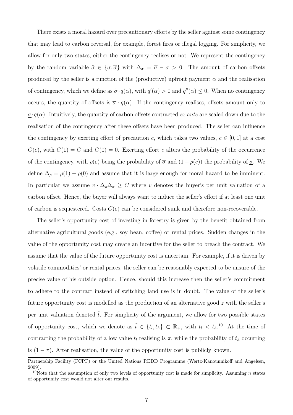There exists a moral hazard over precautionary efforts by the seller against some contingency that may lead to carbon reversal, for example, forest fires or illegal logging. For simplicity, we allow for only two states, either the contingency realises or not. We represent the contingency by the random variable  $\tilde{\sigma} \in {\{\underline{\sigma}, \overline{\sigma}\}}$  with  $\Delta_{\sigma} = \overline{\sigma} - \underline{\sigma} > 0$ . The amount of carbon offsets produced by the seller is a function of the (productive) upfront payment  $\alpha$  and the realisation of contingency, which we define as  $\tilde{\sigma} \cdot q(\alpha)$ , with  $q'(\alpha) > 0$  and  $q''(\alpha) \leq 0$ . When no contingency occurs, the quantity of offsets is  $\bar{\sigma} \cdot q(\alpha)$ . If the contingency realises, offsets amount only to  $\sigma$ · $q(\alpha)$ . Intuitively, the quantity of carbon offsets contracted *ex ante* are scaled down due to the realisation of the contingency after these offsets have been produced. The seller can influence the contingency by exerting effort of precaution e, which takes two values,  $e \in [0, 1]$  at a cost  $C(e)$ , with  $C(1) = C$  and  $C(0) = 0$ . Exerting effort e alters the probability of the occurrence of the contingency, with  $\rho(e)$  being the probability of  $\overline{\sigma}$  and  $(1 - \rho(e))$  the probability of  $\underline{\sigma}$ . We define  $\Delta_{\rho} = \rho(1) - \rho(0)$  and assume that it is large enough for moral hazard to be imminent. In particular we assume  $v \cdot \Delta_{\rho} \Delta_{\sigma} \geq C$  where v denotes the buyer's per unit valuation of a carbon offset. Hence, the buyer will always want to induce the seller's effort if at least one unit of carbon is sequestered. Costs  $C(e)$  can be considered sunk and therefore non-recoverable.

The seller's opportunity cost of investing in forestry is given by the benefit obtained from alternative agricultural goods (e.g., soy bean, coffee) or rental prices. Sudden changes in the value of the opportunity cost may create an incentive for the seller to breach the contract. We assume that the value of the future opportunity cost is uncertain. For example, if it is driven by volatile commodities' or rental prices, the seller can be reasonably expected to be unsure of the precise value of his outside option. Hence, should this increase then the seller's commitment to adhere to the contract instead of switching land use is in doubt. The value of the seller's future opportunity cost is modelled as the production of an alternative good z with the seller's per unit valuation denoted  $\tilde{t}$ . For simplicity of the argument, we allow for two possible states of opportunity cost, which we denote as  $\tilde{t} \in \{t_l, t_h\} \subset \mathbb{R}_+$ , with  $t_l < t_h$ .<sup>10</sup> At the time of contracting the probability of a low value  $t_l$  realising is  $\pi$ , while the probability of  $t_h$  occurring is  $(1 - \pi)$ . After realisation, the value of the opportunity cost is publicly known.

Partnership Facility (FCPF) or the United Nations REDD Programme (Wertz-Kanounnikoff and Angelsen, 2009).

<sup>&</sup>lt;sup>10</sup>Note that the assumption of only two levels of opportunity cost is made for simplicity. Assuming n states of opportunity cost would not alter our results.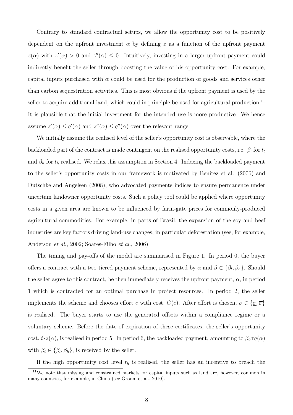Contrary to standard contractual setups, we allow the opportunity cost to be positively dependent on the upfront investment  $\alpha$  by defining z as a function of the upfront payment  $z(\alpha)$  with  $z'(\alpha) > 0$  and  $z''(\alpha) \leq 0$ . Intuitively, investing in a larger upfront payment could indirectly benefit the seller through boosting the value of his opportunity cost. For example, capital inputs purchased with  $\alpha$  could be used for the production of goods and services other than carbon sequestration activities. This is most obvious if the upfront payment is used by the seller to acquire additional land, which could in principle be used for agricultural production.<sup>11</sup> It is plausible that the initial investment for the intended use is more productive. We hence assume  $z'(\alpha) \le q'(\alpha)$  and  $z''(\alpha) \le q''(\alpha)$  over the relevant range.

We initially assume the realised level of the seller's opportunity cost is observable, where the backloaded part of the contract is made contingent on the realised opportunity costs, i.e.  $\beta_l$  for  $t_l$ and  $\beta_h$  for  $t_h$  realised. We relax this assumption in Section 4. Indexing the backloaded payment to the seller's opportunity costs in our framework is motivated by Benitez et al. (2006) and Dutschke and Angelsen (2008), who advocated payments indices to ensure permanence under uncertain landowner opportunity costs. Such a policy tool could be applied where opportunity costs in a given area are known to be influenced by farm-gate prices for commonly-produced agricultural commodities. For example, in parts of Brazil, the expansion of the soy and beef industries are key factors driving land-use changes, in particular deforestation (see, for example, Anderson *et al.*, 2002; Soares-Filho *et al.*, 2006).

The timing and pay-offs of the model are summarised in Figure 1. In period 0, the buyer offers a contract with a two-tiered payment scheme, represented by  $\alpha$  and  $\beta \in \{\beta_l, \beta_h\}$ . Should the seller agree to this contract, he then immediately receives the upfront payment,  $\alpha$ , in period 1 which is contracted for an optimal purchase in project resources. In period 2, the seller implements the scheme and chooses effort e with cost,  $C(e)$ . After effort is chosen,  $\sigma \in {\sigma, \overline{\sigma}}$ is realised. The buyer starts to use the generated offsets within a compliance regime or a voluntary scheme. Before the date of expiration of these certificates, the seller's opportunity cost,  $\tilde{t}\cdot z(\alpha)$ , is realised in period 5. In period 6, the backloaded payment, amounting to  $\beta_i\sigma q(\alpha)$ with  $\beta_i \in {\beta_l, \beta_h}$ , is received by the seller.

If the high opportunity cost level  $t<sub>h</sub>$  is realised, the seller has an incentive to breach the

<sup>11</sup>We note that missing and constrained markets for capital inputs such as land are, however, common in many countries, for example, in China (see Groom et al., 2010).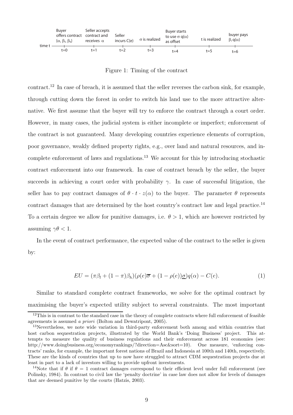| time t | Buver<br>offers contract<br>$\{\alpha, \beta_1, \beta_2\}$ | Seller accepts<br>contract and<br>receives $\alpha$ | Seller<br>incurs C(e) | $\sigma$ is realized | Buyer starts<br>to use $\sigma$ q( $\alpha$ )<br>as offset | t is realized | buyer pays<br>$\beta_i$ g( $\alpha$ ) |
|--------|------------------------------------------------------------|-----------------------------------------------------|-----------------------|----------------------|------------------------------------------------------------|---------------|---------------------------------------|
|        | $t = 0$                                                    | t=1                                                 | t=2                   | t=3                  | t=4                                                        | t=5           | t=6                                   |

Figure 1: Timing of the contract

contract.<sup>12</sup> In case of breach, it is assumed that the seller reverses the carbon sink, for example, through cutting down the forest in order to switch his land use to the more attractive alternative. We first assume that the buyer will try to enforce the contract through a court order. However, in many cases, the judicial system is either incomplete or imperfect; enforcement of the contract is not guaranteed. Many developing countries experience elements of corruption, poor governance, weakly defined property rights, e.g., over land and natural resources, and incomplete enforcement of laws and regulations.<sup>13</sup> We account for this by introducing stochastic contract enforcement into our framework. In case of contract breach by the seller, the buyer succeeds in achieving a court order with probability  $\gamma$ . In case of successful litigation, the seller has to pay contract damages of  $\theta \cdot t \cdot z(\alpha)$  to the buyer. The parameter  $\theta$  represents contract damages that are determined by the host country's contract law and legal practice.<sup>14</sup> To a certain degree we allow for punitive damages, i.e.  $\theta > 1$ , which are however restricted by assuming  $\gamma \theta < 1$ .

In the event of contract performance, the expected value of the contract to the seller is given by:

$$
EU = (\pi \beta_l + (1 - \pi)\beta_h)(\rho(e)\overline{\sigma} + (1 - \rho(e))\underline{\sigma})q(\alpha) - C(e). \tag{1}
$$

Similar to standard complete contract frameworks, we solve for the optimal contract by maximising the buyer's expected utility subject to several constraints. The most important

 $12$ This is in contrast to the standard case in the theory of complete contracts where full enforcement of feasible agreements is assumed a priori (Bolton and Dewatripont, 2005).

<sup>&</sup>lt;sup>13</sup>Nevertheless, we note wide variation in third-party enforcement both among and within countries that host carbon sequestration projects, illustrated by the World Bank's 'Doing Business' project. This attempts to measure the quality of business regulations and their enforcement across 181 economies (see: http://www.doingbusiness.org/economyrankings/?direction=Asc&sort=10). One measure, 'enforcing contracts' ranks, for example, the important forest nations of Brazil and Indonesia at 100th and 140th, respectively. These are the kinds of countries that up to now have struggled to attract CDM sequestration projects due at least in part to a lack of investors willing to provide upfront investments.

<sup>&</sup>lt;sup>14</sup>Note that if  $\theta$  if  $\theta = 1$  contract damages correspond to their efficient level under full enforcement (see Polinsky, 1984). In contrast to civil law the 'penalty doctrine' in case law does not allow for levels of damages that are deemed punitive by the courts (Hatzis, 2003).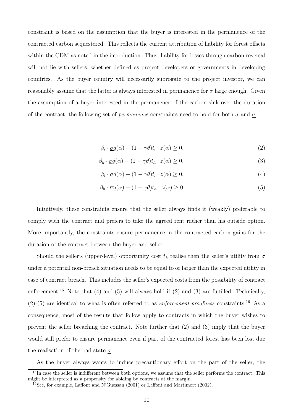constraint is based on the assumption that the buyer is interested in the permanence of the contracted carbon sequestered. This reflects the current attribution of liability for forest offsets within the CDM as noted in the introduction. Thus, liability for losses through carbon reversal will not lie with sellers, whether defined as project developers or governments in developing countries. As the buyer country will necessarily subrogate to the project investor, we can reasonably assume that the latter is always interested in permanence for  $\sigma$  large enough. Given the assumption of a buyer interested in the permanence of the carbon sink over the duration of the contract, the following set of *permanence* constraints need to hold for both  $\bar{\sigma}$  and  $\sigma$ :

$$
\beta_l \cdot \underline{\sigma} q(\alpha) - (1 - \gamma \theta) t_l \cdot z(\alpha) \ge 0,
$$
\n<sup>(2)</sup>

$$
\beta_h \cdot \underline{\sigma} q(\alpha) - (1 - \gamma \theta) t_h \cdot z(\alpha) \ge 0,
$$
\n(3)

$$
\beta_l \cdot \overline{\sigma} q(\alpha) - (1 - \gamma \theta) t_l \cdot z(\alpha) \ge 0,
$$
\n<sup>(4)</sup>

$$
\beta_h \cdot \overline{\sigma} q(\alpha) - (1 - \gamma \theta) t_h \cdot z(\alpha) \ge 0. \tag{5}
$$

Intuitively, these constraints ensure that the seller always finds it (weakly) preferable to comply with the contract and prefers to take the agreed rent rather than his outside option. More importantly, the constraints ensure permanence in the contracted carbon gains for the duration of the contract between the buyer and seller.

Should the seller's (upper-level) opportunity cost  $t<sub>h</sub>$  realise then the seller's utility from  $\sigma$ under a potential non-breach situation needs to be equal to or larger than the expected utility in case of contract breach. This includes the seller's expected costs from the possibility of contract enforcement.<sup>15</sup> Note that (4) and (5) will always hold if (2) and (3) are fulfilled. Technically,  $(2)-(5)$  are identical to what is often referred to as *enforcement-proofness* constraints.<sup>16</sup> As a consequence, most of the results that follow apply to contracts in which the buyer wishes to prevent the seller breaching the contract. Note further that (2) and (3) imply that the buyer would still prefer to ensure permanence even if part of the contracted forest has been lost due the realisation of the bad state  $\sigma$ .

As the buyer always wants to induce precautionary effort on the part of the seller, the

<sup>&</sup>lt;sup>15</sup>In case the seller is indifferent between both options, we assume that the seller performs the contract. This might be interpreted as a propensity for abiding by contracts at the margin.

<sup>16</sup>See, for example, Laffont and N'Guessan (2001) or Laffont and Martimort (2002).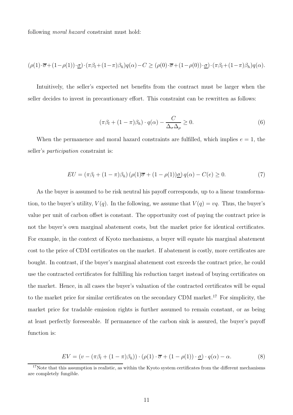following *moral hazard* constraint must hold:

$$
(\rho(1)\cdot\overline{\sigma}+(1-\rho(1))\cdot\underline{\sigma})\cdot(\pi\beta_l+(1-\pi)\beta_h)q(\alpha)-C\geq(\rho(0)\cdot\overline{\sigma}+(1-\rho(0))\cdot\underline{\sigma})\cdot(\pi\beta_l+(1-\pi)\beta_h)q(\alpha).
$$

Intuitively, the seller's expected net benefits from the contract must be larger when the seller decides to invest in precautionary effort. This constraint can be rewritten as follows:

$$
(\pi \beta_l + (1 - \pi)\beta_h) \cdot q(\alpha) - \frac{C}{\Delta_\sigma \Delta_\rho} \ge 0.
$$
\n(6)

When the permanence and moral hazard constraints are fulfilled, which implies  $e = 1$ , the seller's *participation* constraint is:

$$
EU = (\pi \beta_l + (1 - \pi)\beta_h) \left( \rho(1)\overline{\sigma} + (1 - \rho(1))\underline{\sigma} \right) q(\alpha) - C(e) \ge 0. \tag{7}
$$

As the buyer is assumed to be risk neutral his payoff corresponds, up to a linear transformation, to the buyer's utility,  $V(q)$ . In the following, we assume that  $V(q) = vq$ . Thus, the buyer's value per unit of carbon offset is constant. The opportunity cost of paying the contract price is not the buyer's own marginal abatement costs, but the market price for identical certificates. For example, in the context of Kyoto mechanisms, a buyer will equate his marginal abatement cost to the price of CDM certificates on the market. If abatement is costly, more certificates are bought. In contrast, if the buyer's marginal abatement cost exceeds the contract price, he could use the contracted certificates for fulfilling his reduction target instead of buying certificates on the market. Hence, in all cases the buyer's valuation of the contracted certificates will be equal to the market price for similar certificates on the secondary CDM market.<sup>17</sup> For simplicity, the market price for tradable emission rights is further assumed to remain constant, or as being at least perfectly foreseeable. If permanence of the carbon sink is assured, the buyer's payoff function is:

$$
EV = (v - (\pi \beta_l + (1 - \pi)\beta_h)) \cdot (\rho(1) \cdot \overline{\sigma} + (1 - \rho(1)) \cdot \underline{\sigma}) \cdot q(\alpha) - \alpha.
$$
 (8)

 $17$ Note that this assumption is realistic, as within the Kyoto system certificates from the different mechanisms are completely fungible.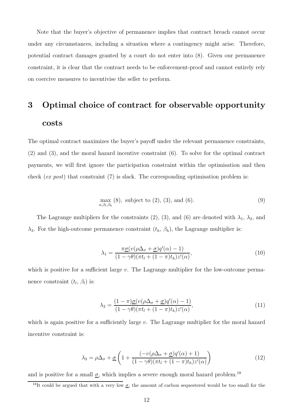Note that the buyer's objective of permanence implies that contract breach cannot occur under any circumstances, including a situation where a contingency might arise. Therefore, potential contract damages granted by a court do not enter into (8). Given our permanence constraint, it is clear that the contract needs to be enforcement-proof and cannot entirely rely on coercive measures to incentivise the seller to perform.

## 3 Optimal choice of contract for observable opportunity costs

The optimal contract maximizes the buyer's payoff under the relevant permanence constraints, (2) and (3), and the moral hazard incentive constraint (6). To solve for the optimal contract payments, we will first ignore the participation constraint within the optimisation and then check (*ex post*) that constraint (7) is slack. The corresponding optimisation problem is:

$$
\max_{\alpha,\beta_l,\beta_h} (8), \text{ subject to } (2), (3), \text{ and } (6). \tag{9}
$$

The Lagrange multipliers for the constraints (2), (3), and (6) are denoted with  $\lambda_1$ ,  $\lambda_2$ , and  $\lambda_3$ . For the high-outcome permanence constraint  $(t_h, \beta_h)$ , the Lagrange multiplier is:

$$
\lambda_1 = \frac{\pi \underline{\sigma}(v(\rho \Delta_\sigma + \underline{\sigma})q'(\alpha) - 1)}{(1 - \gamma \theta)(\pi t_l + (1 - \pi)t_h)z'(\alpha)},\tag{10}
$$

which is positive for a sufficient large  $v$ . The Lagrange multiplier for the low-outcome permanence constraint  $(t_l, \beta_l)$  is:

$$
\lambda_2 = \frac{(1-\pi)\underline{\sigma}(v(\rho\Delta_\sigma + \underline{\sigma})q'(\alpha) - 1)}{(1-\gamma\theta)(\pi t_l + (1-\pi)t_h)z'(\alpha)},\tag{11}
$$

which is again positive for a sufficiently large  $v$ . The Lagrange multiplier for the moral hazard incentive constraint is:

$$
\lambda_3 = \rho \Delta_\sigma + \underline{\sigma} \left( 1 + \frac{(-v(\rho \Delta_\sigma + \underline{\sigma}) q'(\alpha) + 1)}{(1 - \gamma \theta)(\pi t_l + (1 - \pi)t_h) z'(\alpha)} \right) \tag{12}
$$

and is positive for a small  $\sigma$ , which implies a severe enough moral hazard problem.<sup>18</sup>

<sup>&</sup>lt;sup>18</sup>It could be argued that with a very low  $\underline{\sigma}$ , the amount of carbon sequestered would be too small for the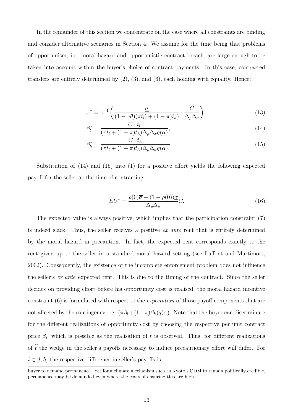In the remainder of this section we concentrate on the case where all constraints are binding and consider alternative scenarios in Section 4. We assume for the time being that problems of opportunism, i.e. moral hazard and opportunistic contract breach, are large enough to be taken into account within the buyer's choice of contract payments. In this case, contracted transfers are entirely determined by  $(2)$ ,  $(3)$ , and  $(6)$ , each holding with equality. Hence:

$$
\alpha^* = z^{-1} \left( \frac{\underline{\sigma}}{(1 - \gamma \theta)(\pi t_l) + (1 - \pi)t_h)} \cdot \frac{C}{\Delta_\rho \Delta_\sigma} \right),\tag{13}
$$

$$
\beta_l^* = \frac{C \cdot t_l}{(\pi t_l + (1 - \pi)t_h)\Delta_\rho \Delta_\sigma q(\alpha)},\tag{14}
$$

$$
\beta_h^* = \frac{C \cdot t_h}{(\pi t_l + (1 - \pi)t_h)\Delta_\rho \Delta_\sigma q(\alpha)}.
$$
\n(15)

Substitution of (14) and (15) into (1) for a positive effort yields the following expected payoff for the seller at the time of contracting:

$$
EU^* = \frac{\rho(0)\overline{\sigma} + (1 - \rho(0))\underline{\sigma}}{\Delta_{\rho}\Delta_{\sigma}}C.
$$
\n(16)

The expected value is always positive, which implies that the participation constraint (7) is indeed slack. Thus, the seller receives a positive *ex ante* rent that is entirely determined by the moral hazard in precaution. In fact, the expected rent corresponds exactly to the rent given up to the seller in a standard moral hazard setting (see Laffont and Martimort, 2002). Consequently, the existence of the incomplete enforcement problem does not influence the seller's *ex ante* expected rent. This is due to the timing of the contract. Since the seller decides on providing effort before his opportunity cost is realised, the moral hazard incentive constraint (6) is formulated with respect to the *expectation* of those payoff components that are not affected by the contingency, i.e.  $(\pi \beta_l + (1-\pi)\beta_h)q(\alpha)$ . Note that the buyer can discriminate for the different realizations of opportunity cost by choosing the respective per unit contract price  $\beta_i$ , which is possible as the realisation of  $\tilde{t}$  is observed. Thus, for different realizations of  $\tilde{t}$  the wedge in the seller's payoffs necessary to induce precautionary effort will differ. For  $i \in [l, h]$  the respective difference in seller's payoffs is:

buyer to demand permanence. Yet for a climate mechanism such as Kyoto's CDM to remain politically credible, permanence may be demanded even where the costs of ensuring this are high.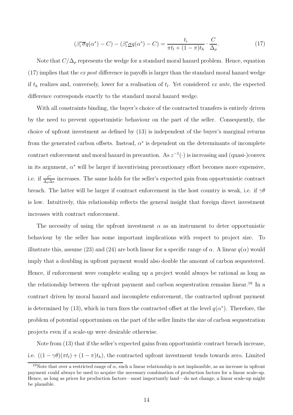$$
(\beta_i^* \overline{\sigma} q(\alpha^*) - C) - (\beta_i^* \underline{\sigma} q(\alpha^*) - C) = \frac{t_i}{\pi t_l + (1 - \pi)t_h} \cdot \frac{C}{\Delta_\rho}.
$$
 (17)

Note that  $C/\Delta_\rho$  represents the wedge for a standard moral hazard problem. Hence, equation (17) implies that the *ex post* difference in payoffs is larger than the standard moral hazard wedge if  $t<sub>h</sub>$  realizes and, conversely, lower for a realisation of  $t<sub>l</sub>$ . Yet considered *ex ante*, the expected difference corresponds exactly to the standard moral hazard wedge.

With all constraints binding, the buyer's choice of the contracted transfers is entirely driven by the need to prevent opportunistic behaviour on the part of the seller. Consequently, the choice of upfront investment as defined by (13) is independent of the buyer's marginal returns from the generated carbon offsets. Instead,  $\alpha^*$  is dependent on the determinants of incomplete contract enforcement and moral hazard in precaution. As  $z^{-1}(\cdot)$  is increasing and (quasi-)convex in its argument,  $\alpha^*$  will be larger if incentivising precautionary effort becomes more expensive, i.e. if  $\frac{C}{\Delta_\rho \Delta_\sigma}$  increases. The same holds for the seller's expected gain from opportunistic contract breach. The latter will be larger if contract enforcement in the host country is weak, i.e. if  $\gamma\theta$ is low. Intuitively, this relationship reflects the general insight that foreign direct investment increases with contract enforcement.

The necessity of using the upfront investment  $\alpha$  as an instrument to deter opportunistic behaviour by the seller has some important implications with respect to project size. To illustrate this, assume (23) and (24) are both linear for a specific range of  $\alpha$ . A linear  $q(\alpha)$  would imply that a doubling in upfront payment would also double the amount of carbon sequestered. Hence, if enforcement were complete scaling up a project would always be rational as long as the relationship between the upfront payment and carbon sequestration remains linear.<sup>19</sup> In a contract driven by moral hazard and incomplete enforcement, the contracted upfront payment is determined by (13), which in turn fixes the contracted offset at the level  $q(\alpha^*)$ . Therefore, the problem of potential opportunism on the part of the seller limits the size of carbon sequestration projects even if a scale-up were desirable otherwise.

Note from (13) that if the seller's expected gains from opportunistic contract breach increase, i.e.  $((1 - \gamma \theta)(\pi t_i) + (1 - \pi)t_h)$ , the contracted upfront investment tends towards zero. Limited

<sup>&</sup>lt;sup>19</sup>Note that over a restricted range of  $\alpha$ , such a linear relationship is not implausible, as an increase in upfront payment could always be used to acquire the necessary combination of production factors for a linear scale-up. Hence, as long as prices for production factors—most importantly land—do not change, a linear scale-up might be plausible.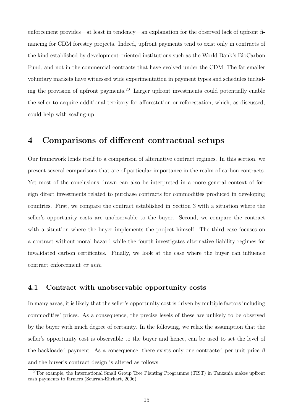enforcement provides—at least in tendency—an explanation for the observed lack of upfront financing for CDM forestry projects. Indeed, upfront payments tend to exist only in contracts of the kind established by development-oriented institutions such as the World Bank's BioCarbon Fund, and not in the commercial contracts that have evolved under the CDM. The far smaller voluntary markets have witnessed wide experimentation in payment types and schedules including the provision of upfront payments.<sup>20</sup> Larger upfront investments could potentially enable the seller to acquire additional territory for afforestation or reforestation, which, as discussed, could help with scaling-up.

### 4 Comparisons of different contractual setups

Our framework lends itself to a comparison of alternative contract regimes. In this section, we present several comparisons that are of particular importance in the realm of carbon contracts. Yet most of the conclusions drawn can also be interpreted in a more general context of foreign direct investments related to purchase contracts for commodities produced in developing countries. First, we compare the contract established in Section 3 with a situation where the seller's opportunity costs are unobservable to the buyer. Second, we compare the contract with a situation where the buyer implements the project himself. The third case focuses on a contract without moral hazard while the fourth investigates alternative liability regimes for invalidated carbon certificates. Finally, we look at the case where the buyer can influence contract enforcement *ex ante*.

#### 4.1 Contract with unobservable opportunity costs

In many areas, it is likely that the seller's opportunity cost is driven by multiple factors including commodities' prices. As a consequence, the precise levels of these are unlikely to be observed by the buyer with much degree of certainty. In the following, we relax the assumption that the seller's opportunity cost is observable to the buyer and hence, can be used to set the level of the backloaded payment. As a consequence, there exists only one contracted per unit price  $\beta$ and the buyer's contract design is altered as follows.

<sup>&</sup>lt;sup>20</sup>For example, the International Small Group Tree Planting Programme (TIST) in Tanzania makes upfront cash payments to farmers (Scurrah-Ehrhart, 2006).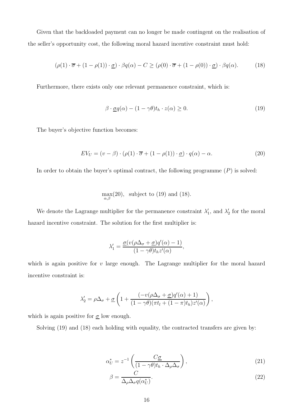Given that the backloaded payment can no longer be made contingent on the realisation of the seller's opportunity cost, the following moral hazard incentive constraint must hold:

$$
(\rho(1) \cdot \overline{\sigma} + (1 - \rho(1)) \cdot \underline{\sigma}) \cdot \beta q(\alpha) - C \geq (\rho(0) \cdot \overline{\sigma} + (1 - \rho(0)) \cdot \underline{\sigma}) \cdot \beta q(\alpha).
$$
 (18)

Furthermore, there exists only one relevant permanence constraint, which is:

$$
\beta \cdot \underline{\sigma} q(\alpha) - (1 - \gamma \theta) t_h \cdot z(\alpha) \ge 0. \tag{19}
$$

The buyer's objective function becomes:

$$
EV_U = (v - \beta) \cdot (\rho(1) \cdot \overline{\sigma} + (1 - \rho(1)) \cdot \underline{\sigma}) \cdot q(\alpha) - \alpha.
$$
 (20)

In order to obtain the buyer's optimal contract, the following programme  $(P)$  is solved:

$$
\max_{\alpha,\beta}(20), \text{ subject to (19) and (18).}
$$

We denote the Lagrange multiplier for the permanence constraint  $\lambda'_{1}$  $\lambda'_1$ , and  $\lambda'_2$  $_2'$  for the moral hazard incentive constraint. The solution for the first multiplier is:

$$
\lambda_1' = \frac{\underline{\sigma}(v(\rho\Delta_{\sigma} + \underline{\sigma})q'(\alpha) - 1)}{(1 - \gamma\theta)t_h z'(\alpha)},
$$

which is again positive for  $v$  large enough. The Lagrange multiplier for the moral hazard incentive constraint is:

$$
\lambda_2' = \rho \Delta_\sigma + \underline{\sigma} \left( 1 + \frac{(-v(\rho \Delta_\sigma + \underline{\sigma}) q'(\alpha) + 1)}{(1 - \gamma \theta)(\pi t_l + (1 - \pi) t_h) z'(\alpha)} \right),
$$

which is again positive for  $\underline{\sigma}$  low enough.

Solving  $(19)$  and  $(18)$  each holding with equality, the contracted transfers are given by:

$$
\alpha_U^* = z^{-1} \left( \frac{C_{\mathcal{Q}}}{(1 - \gamma \theta) t_h \cdot \Delta_\rho \Delta_\sigma} \right),\tag{21}
$$

$$
\beta = \frac{C}{\Delta_{\rho} \Delta_{\sigma} q(\alpha_U^*)}.
$$
\n(22)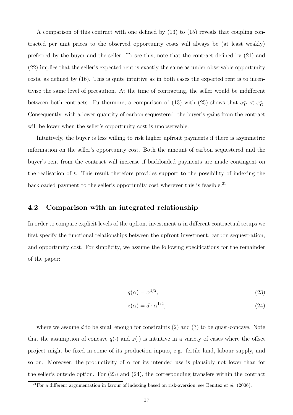A comparison of this contract with one defined by (13) to (15) reveals that coupling contracted per unit prices to the observed opportunity costs will always be (at least weakly) preferred by the buyer and the seller. To see this, note that the contract defined by (21) and (22) implies that the seller's expected rent is exactly the same as under observable opportunity costs, as defined by (16). This is quite intuitive as in both cases the expected rent is to incentivise the same level of precaution. At the time of contracting, the seller would be indifferent between both contracts. Furthermore, a comparison of (13) with (25) shows that  $\alpha_U^* < \alpha_O^*$ . Consequently, with a lower quantity of carbon sequestered, the buyer's gains from the contract will be lower when the seller's opportunity cost is unobservable.

Intuitively, the buyer is less willing to risk higher upfront payments if there is asymmetric information on the seller's opportunity cost. Both the amount of carbon sequestered and the buyer's rent from the contract will increase if backloaded payments are made contingent on the realisation of t. This result therefore provides support to the possibility of indexing the backloaded payment to the seller's opportunity cost wherever this is feasible.<sup>21</sup>

#### 4.2 Comparison with an integrated relationship

In order to compare explicit levels of the upfront investment  $\alpha$  in different contractual setups we first specify the functional relationships between the upfront investment, carbon sequestration, and opportunity cost. For simplicity, we assume the following specifications for the remainder of the paper:

$$
q(\alpha) = \alpha^{1/2},\tag{23}
$$

$$
z(\alpha) = d \cdot \alpha^{1/2},\tag{24}
$$

where we assume d to be small enough for constraints  $(2)$  and  $(3)$  to be quasi-concave. Note that the assumption of concave  $q(\cdot)$  and  $z(\cdot)$  is intuitive in a variety of cases where the offset project might be fixed in some of its production inputs, e.g. fertile land, labour supply, and so on. Moreover, the productivity of  $\alpha$  for its intended use is plausibly not lower than for the seller's outside option. For (23) and (24), the corresponding transfers within the contract

 $\frac{21}{21}$  For a different argumentation in favour of indexing based on risk-aversion, see Benitez *et al.* (2006).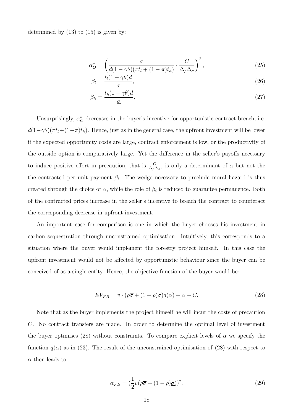determined by  $(13)$  to  $(15)$  is given by:

$$
\alpha_O^* = \left(\frac{\underline{\sigma}}{d(1-\gamma\theta)(\pi t_l + (1-\pi)t_h)} \cdot \frac{C}{\Delta_\rho \Delta_\sigma}\right)^2,\tag{25}
$$

$$
\beta_l = \frac{t_l(1 - \gamma \theta)d}{\underline{\sigma}},\tag{26}
$$

$$
\beta_h = \frac{t_h (1 - \gamma \theta) d}{\underline{\sigma}}.\tag{27}
$$

Unsurprisingly,  $\alpha_O^*$  decreases in the buyer's incentive for opportunistic contract breach, i.e.  $d(1-\gamma\theta)(\pi t_l+(1-\pi)t_h)$ . Hence, just as in the general case, the upfront investment will be lower if the expected opportunity costs are large, contract enforcement is low, or the productivity of the outside option is comparatively large. Yet the difference in the seller's payoffs necessary to induce positive effort in precaution, that is  $\frac{C}{\Delta_\rho \Delta_\sigma}$ , is only a determinant of  $\alpha$  but not the the contracted per unit payment  $\beta_i$ . The wedge necessary to preclude moral hazard is thus created through the choice of  $\alpha$ , while the role of  $\beta_i$  is reduced to guarantee permanence. Both of the contracted prices increase in the seller's incentive to breach the contract to counteract the corresponding decrease in upfront investment.

An important case for comparison is one in which the buyer chooses his investment in carbon sequestration through unconstrained optimisation. Intuitively, this corresponds to a situation where the buyer would implement the forestry project himself. In this case the upfront investment would not be affected by opportunistic behaviour since the buyer can be conceived of as a single entity. Hence, the objective function of the buyer would be:

$$
EV_{FB} = v \cdot (\rho \overline{\sigma} + (1 - \rho) \underline{\sigma}) q(\alpha) - \alpha - C.
$$
 (28)

Note that as the buyer implements the project himself he will incur the costs of precaution C. No contract transfers are made. In order to determine the optimal level of investment the buyer optimises (28) without constraints. To compare explicit levels of  $\alpha$  we specify the function  $q(\alpha)$  as in (23). The result of the unconstrained optimisation of (28) with respect to  $\alpha$  then leads to:

$$
\alpha_{FB} = \left(\frac{1}{2}v(\rho\overline{\sigma} + (1-\rho)\underline{\sigma})\right)^2.
$$
\n(29)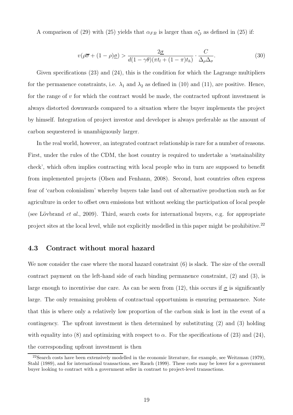A comparison of (29) with (25) yields that  $\alpha_{FB}$  is larger than  $\alpha_{O}^*$  as defined in (25) if:

$$
v(\rho \overline{\sigma} + (1 - \rho)\underline{\sigma}) > \frac{2\underline{\sigma}}{d(1 - \gamma \theta)(\pi t_l + (1 - \pi)t_h)} \cdot \frac{C}{\Delta_\rho \Delta_\sigma}.
$$
 (30)

Given specifications (23) and (24), this is the condition for which the Lagrange multipliers for the permanence constraints, i.e.  $\lambda_1$  and  $\lambda_2$  as defined in (10) and (11), are positive. Hence, for the range of  $v$  for which the contract would be made, the contracted upfront investment is always distorted downwards compared to a situation where the buyer implements the project by himself. Integration of project investor and developer is always preferable as the amount of carbon sequestered is unambiguously larger.

In the real world, however, an integrated contract relationship is rare for a number of reasons. First, under the rules of the CDM, the host country is required to undertake a 'sustainability check', which often implies contracting with local people who in turn are supposed to benefit from implemented projects (Olsen and Fenhann, 2008). Second, host countries often express fear of 'carbon colonialism' whereby buyers take land out of alternative production such as for agriculture in order to offset own emissions but without seeking the participation of local people (see Lövbrand *et al.*, 2009). Third, search costs for international buyers, e.g. for appropriate project sites at the local level, while not explicitly modelled in this paper might be prohibitive.<sup>22</sup>

#### 4.3 Contract without moral hazard

We now consider the case where the moral hazard constraint  $(6)$  is slack. The size of the overall contract payment on the left-hand side of each binding permanence constraint, (2) and (3), is large enough to incentivise due care. As can be seen from (12), this occurs if  $\sigma$  is significantly large. The only remaining problem of contractual opportunism is ensuring permanence. Note that this is where only a relatively low proportion of the carbon sink is lost in the event of a contingency. The upfront investment is then determined by substituting (2) and (3) holding with equality into (8) and optimizing with respect to  $\alpha$ . For the specifications of (23) and (24), the corresponding upfront investment is then

 $22$ Search costs have been extensively modelled in the economic literature, for example, see Weitzman (1979), Stahl (1989), and for international transactions, see Rauch (1999). These costs may be lower for a government buyer looking to contract with a government seller in contrast to project-level transactions.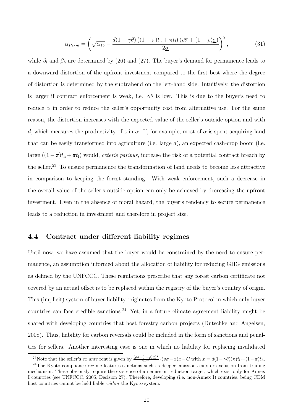$$
\alpha_{Perm} = \left(\sqrt{\alpha_{fb}} - \frac{d(1-\gamma\theta)\left((1-\pi)t_h + \pi t_l\right)(\rho\overline{\sigma} + (1-\rho)\underline{\sigma})}{2\underline{\sigma}}\right)^2,\tag{31}
$$

while  $\beta_l$  and  $\beta_h$  are determined by (26) and (27). The buyer's demand for permanence leads to a downward distortion of the upfront investment compared to the first best where the degree of distortion is determined by the subtrahend on the left-hand side. Intuitively, the distortion is larger if contract enforcement is weak, i.e.  $\gamma\theta$  is low. This is due to the buyer's need to reduce  $\alpha$  in order to reduce the seller's opportunity cost from alternative use. For the same reason, the distortion increases with the expected value of the seller's outside option and with d, which measures the productivity of z in  $\alpha$ . If, for example, most of  $\alpha$  is spent acquiring land that can be easily transformed into agriculture (i.e. large  $d$ ), an expected cash-crop boom (i.e. large  $((1 - \pi)t_h + \pi t_l)$  would, *ceteris paribus*, increase the risk of a potential contract breach by the seller.<sup>23</sup> To ensure permanence the transformation of land needs to become less attractive in comparison to keeping the forest standing. With weak enforcement, such a decrease in the overall value of the seller's outside option can only be achieved by decreasing the upfront investment. Even in the absence of moral hazard, the buyer's tendency to secure permanence leads to a reduction in investment and therefore in project size.

#### 4.4 Contract under different liability regimes

Until now, we have assumed that the buyer would be constrained by the need to ensure permanence, an assumption informed about the allocation of liability for reducing GHG emissions as defined by the UNFCCC. These regulations prescribe that any forest carbon certificate not covered by an actual offset is to be replaced within the registry of the buyer's country of origin. This (implicit) system of buyer liability originates from the Kyoto Protocol in which only buyer countries can face credible sanctions.<sup>24</sup> Yet, in a future climate agreement liability might be shared with developing countries that host forestry carbon projects (Dutschke and Angelsen, 2008). Thus, liability for carbon reversals could be included in the form of sanctions and penalties for sellers. Another interesting case is one in which no liability for replacing invalidated

<sup>&</sup>lt;sup>23</sup>Note that the seller's ex ante rent is given by  $\frac{(\rho\overline{\sigma}+(1-\rho)\sigma)^2}{2\cdot\sigma^2}\cdot(v\underline{\sigma}-x)x-C$  with  $x=d(1-\gamma\theta)(\pi)t_1+(1-\pi)t_h$ .

 $24$ The Kyoto compliance regime features sanctions such as deeper emissions cuts or exclusion from trading mechanism. These obviously require the existence of an emission reduction target, which exist only for Annex I countries (see UNFCCC, 2005, Decision 27). Therefore, developing (i.e. non-Annex I) countries, being CDM host countries cannot be held liable within the Kyoto system.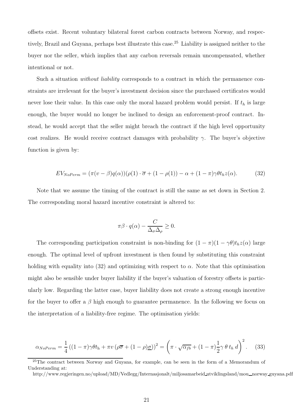offsets exist. Recent voluntary bilateral forest carbon contracts between Norway, and respectively, Brazil and Guyana, perhaps best illustrate this case.<sup>25</sup> Liability is assigned neither to the buyer nor the seller, which implies that any carbon reversals remain uncompensated, whether intentional or not.

Such a situation *without liability* corresponds to a contract in which the permanence constraints are irrelevant for the buyer's investment decision since the purchased certificates would never lose their value. In this case only the moral hazard problem would persist. If  $t<sub>h</sub>$  is large enough, the buyer would no longer be inclined to design an enforcement-proof contract. Instead, he would accept that the seller might breach the contract if the high level opportunity cost realizes. He would receive contract damages with probability  $\gamma$ . The buyer's objective function is given by:

$$
EV_{NoPerm} = (\pi(v-\beta)q(\alpha))(\rho(1)\cdot\overline{\sigma} + (1-\rho(1)) - \alpha + (1-\pi)\gamma\theta t_h z(\alpha). \tag{32}
$$

Note that we assume the timing of the contract is still the same as set down in Section 2. The corresponding moral hazard incentive constraint is altered to:

$$
\pi \beta \cdot q(\alpha) - \frac{C}{\Delta_{\sigma} \Delta_{\rho}} \ge 0.
$$

The corresponding participation constraint is non-binding for  $(1 - \pi)(1 - \gamma \theta)t_h z(\alpha)$  large enough. The optimal level of upfront investment is then found by substituting this constraint holding with equality into (32) and optimizing with respect to  $\alpha$ . Note that this optimisation might also be sensible under buyer liability if the buyer's valuation of forestry offsets is particularly low. Regarding the latter case, buyer liability does not create a strong enough incentive for the buyer to offer a  $\beta$  high enough to guarantee permanence. In the following we focus on the interpretation of a liability-free regime. The optimisation yields:

$$
\alpha_{NoPerm} = \frac{1}{4} \left( (1 - \pi) \gamma \theta t_h + \pi v \left( \rho \overline{\sigma} + (1 - \rho) \underline{\sigma} \right) \right)^2 = \left( \pi \cdot \sqrt{\alpha_{fb}} + (1 - \pi) \frac{1}{2} \gamma \theta t_h d \right)^2.
$$
 (33)

<sup>&</sup>lt;sup>25</sup>The contract between Norway and Guyana, for example, can be seen in the form of a Memorandum of Understanding at:

http://www.regjeringen.no/upload/MD/Vedlegg/Internasjonalt/miljosamarbeid utviklingsland/mou \_norway guyana.pdf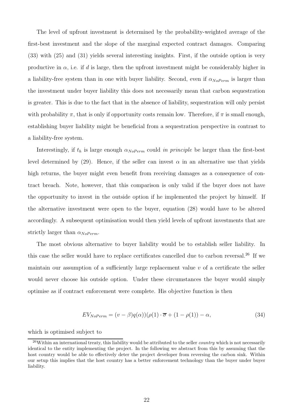The level of upfront investment is determined by the probability-weighted average of the first-best investment and the slope of the marginal expected contract damages. Comparing (33) with (25) and (31) yields several interesting insights. First, if the outside option is very productive in  $\alpha$ , i.e. if d is large, then the upfront investment might be considerably higher in a liability-free system than in one with buyer liability. Second, even if  $\alpha_{NoPerm}$  is larger than the investment under buyer liability this does not necessarily mean that carbon sequestration is greater. This is due to the fact that in the absence of liability, sequestration will only persist with probability  $\pi$ , that is only if opportunity costs remain low. Therefore, if  $\pi$  is small enough, establishing buyer liability might be beneficial from a sequestration perspective in contrast to a liability-free system.

Interestingly, if  $t_h$  is large enough  $\alpha_{NoPerm}$  could *in principle* be larger than the first-best level determined by (29). Hence, if the seller can invest  $\alpha$  in an alternative use that yields high returns, the buyer might even benefit from receiving damages as a consequence of contract breach. Note, however, that this comparison is only valid if the buyer does not have the opportunity to invest in the outside option if he implemented the project by himself. If the alternative investment were open to the buyer, equation (28) would have to be altered accordingly. A subsequent optimisation would then yield levels of upfront investments that are strictly larger than  $\alpha_{NoPerm}$ .

The most obvious alternative to buyer liability would be to establish seller liability. In this case the seller would have to replace certificates cancelled due to carbon reversal.<sup>26</sup> If we maintain our assumption of a sufficiently large replacement value  $v$  of a certificate the seller would never choose his outside option. Under these circumstances the buyer would simply optimise as if contract enforcement were complete. His objective function is then

$$
EV_{NoPerm} = (v - \beta)q(\alpha))(\rho(1) \cdot \overline{\sigma} + (1 - \rho(1)) - \alpha, \tag{34}
$$

which is optimised subject to

 $^{26}$ Within an international treaty, this liability would be attributed to the seller *country* which is not necessarily identical to the entity implementing the project. In the following we abstract from this by assuming that the host country would be able to effectively deter the project developer from reversing the carbon sink. Within our setup this implies that the host country has a better enforcement technology than the buyer under buyer liability.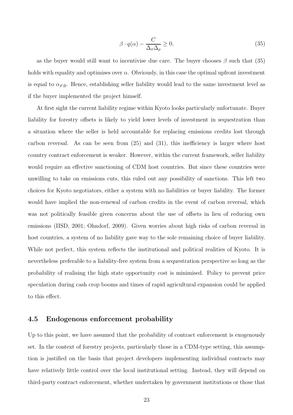$$
\beta \cdot q(\alpha) - \frac{C}{\Delta_{\sigma} \Delta_{\rho}} \ge 0,
$$
\n(35)

as the buyer would still want to incentivise due care. The buyer chooses  $\beta$  such that (35) holds with equality and optimises over  $\alpha$ . Obviously, in this case the optimal upfront investment is equal to  $\alpha_{FB}$ . Hence, establishing seller liability would lead to the same investment level as if the buyer implemented the project himself.

At first sight the current liability regime within Kyoto looks particularly unfortunate. Buyer liability for forestry offsets is likely to yield lower levels of investment in sequestration than a situation where the seller is held accountable for replacing emissions credits lost through carbon reversal. As can be seen from  $(25)$  and  $(31)$ , this inefficiency is larger where host country contract enforcement is weaker. However, within the current framework, seller liability would require an effective sanctioning of CDM host countries. But since these countries were unwilling to take on emissions cuts, this ruled out any possibility of sanctions. This left two choices for Kyoto negotiators, either a system with no liabilities or buyer liability. The former would have implied the non-renewal of carbon credits in the event of carbon reversal, which was not politically feasible given concerns about the use of offsets in lieu of reducing own emissions (IISD, 2001; Ohndorf, 2009). Given worries about high risks of carbon reversal in host countries, a system of no liability gave way to the sole remaining choice of buyer liability. While not perfect, this system reflects the institutional and political realities of Kyoto. It is nevertheless preferable to a liability-free system from a sequestration perspective so long as the probability of realising the high state opportunity cost is minimised. Policy to prevent price speculation during cash crop booms and times of rapid agricultural expansion could be applied to this effect.

#### 4.5 Endogenous enforcement probability

Up to this point, we have assumed that the probability of contract enforcement is exogenously set. In the context of forestry projects, particularly those in a CDM-type setting, this assumption is justified on the basis that project developers implementing individual contracts may have relatively little control over the local institutional setting. Instead, they will depend on third-party contract enforcement, whether undertaken by government institutions or those that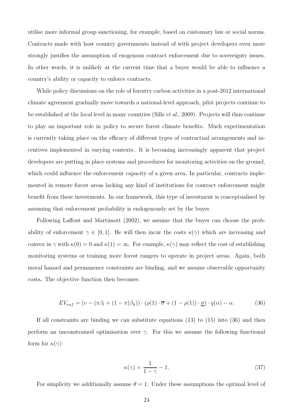utilise more informal group sanctioning, for example, based on customary law or social norms. Contracts made with host country governments instead of with project developers even more strongly justifies the assumption of exogenous contract enforcement due to sovereignty issues. In other words, it is unlikely at the current time that a buyer would be able to influence a country's ability or capacity to enforce contracts.

While policy discussions on the role of forestry carbon activities in a post-2012 international climate agreement gradually move towards a national-level approach, pilot projects continue to be established at the local level in many countries (Sills *et al.*, 2009). Projects will thus continue to play an important role in policy to secure forest climate benefits. Much experimentation is currently taking place on the efficacy of different types of contractual arrangements and incentives implemented in varying contexts. It is becoming increasingly apparent that project developers are putting in place systems and procedures for monitoring activities on the ground, which could influence the enforcement capacity of a given area. In particular, contracts implemented in remote forest areas lacking any kind of institutions for contract enforcement might benefit from these investments. In our framework, this type of investment is conceptualised by assuming that enforcement probability is endogenously set by the buyer.

Following Laffont and Martimort (2002), we assume that the buyer can choose the probability of enforcement  $\gamma \in [0,1]$ . He will then incur the costs  $\kappa(\gamma)$  which are increasing and convex in  $\gamma$  with  $\kappa(0) = 0$  and  $\kappa(1) = \infty$ . For example,  $\kappa(\gamma)$  may reflect the cost of establishing monitoring systems or training more forest rangers to operate in project areas. Again, both moral hazard and permanence constraints are binding, and we assume observable opportunity costs. The objective function then becomes:

$$
EV_{enf} = (v - (\pi \beta_l + (1 - \pi)\beta_h)) \cdot (\rho(1) \cdot \overline{\sigma} + (1 - \rho(1)) \cdot \underline{\sigma}) \cdot q(\alpha) - \alpha.
$$
 (36)

If all constraints are binding we can substitute equations (13) to (15) into (36) and then perform an unconstrained optimisation over  $\gamma$ . For this we assume the following functional form for  $\kappa(\gamma)$ :

$$
\kappa(\gamma) = \frac{1}{1 - \gamma} - 1. \tag{37}
$$

For simplicity we additionally assume  $\theta = 1$ . Under these assumptions the optimal level of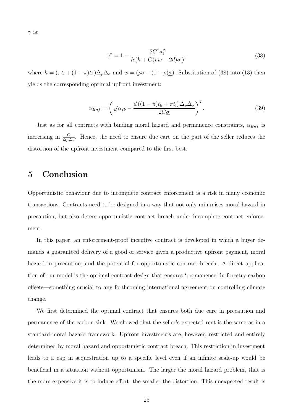$\gamma$  is:

$$
\gamma^* = 1 - \frac{2C^2 \sigma_1^2}{h (h + C(vw - 2d)\sigma_1)},
$$
\n(38)

where  $h = (\pi t_l + (1 - \pi)t_h)\Delta_\rho\Delta_\sigma$  and  $w = (\rho \overline{\sigma} + (1 - \rho)\underline{\sigma})$ . Substitution of (38) into (13) then yields the corresponding optimal upfront investment:

$$
\alpha_{Enf} = \left(\sqrt{\alpha_{fb}} - \frac{d\left((1-\pi)t_h + \pi t_l\right)\Delta_\rho\Delta_\sigma}{2C\underline{\sigma}}\right)^2.
$$
\n(39)

Just as for all contracts with binding moral hazard and permanence constraints,  $\alpha_{Enf}$  is increasing in  $\frac{C}{\Delta_{\rho}\Delta_{\sigma}}$ . Hence, the need to ensure due care on the part of the seller reduces the distortion of the upfront investment compared to the first best.

## 5 Conclusion

Opportunistic behaviour due to incomplete contract enforcement is a risk in many economic transactions. Contracts need to be designed in a way that not only minimises moral hazard in precaution, but also deters opportunistic contract breach under incomplete contract enforcement.

In this paper, an enforcement-proof incentive contract is developed in which a buyer demands a guaranteed delivery of a good or service given a productive upfront payment, moral hazard in precaution, and the potential for opportunistic contract breach. A direct application of our model is the optimal contract design that ensures 'permanence' in forestry carbon offsets—something crucial to any forthcoming international agreement on controlling climate change.

We first determined the optimal contract that ensures both due care in precaution and permanence of the carbon sink. We showed that the seller's expected rent is the same as in a standard moral hazard framework. Upfront investments are, however, restricted and entirely determined by moral hazard and opportunistic contract breach. This restriction in investment leads to a cap in sequestration up to a specific level even if an infinite scale-up would be beneficial in a situation without opportunism. The larger the moral hazard problem, that is the more expensive it is to induce effort, the smaller the distortion. This unexpected result is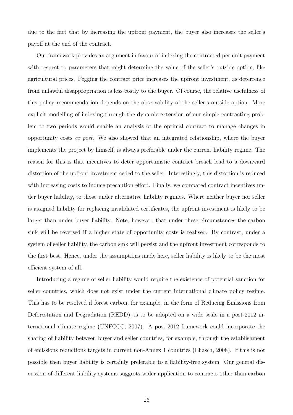due to the fact that by increasing the upfront payment, the buyer also increases the seller's payoff at the end of the contract.

Our framework provides an argument in favour of indexing the contracted per unit payment with respect to parameters that might determine the value of the seller's outside option, like agricultural prices. Pegging the contract price increases the upfront investment, as deterrence from unlawful disappropriation is less costly to the buyer. Of course, the relative usefulness of this policy recommendation depends on the observability of the seller's outside option. More explicit modelling of indexing through the dynamic extension of our simple contracting problem to two periods would enable an analysis of the optimal contract to manage changes in opportunity costs *ex post*. We also showed that an integrated relationship, where the buyer implements the project by himself, is always preferable under the current liability regime. The reason for this is that incentives to deter opportunistic contract breach lead to a downward distortion of the upfront investment ceded to the seller. Interestingly, this distortion is reduced with increasing costs to induce precaution effort. Finally, we compared contract incentives under buyer liability, to those under alternative liability regimes. Where neither buyer nor seller is assigned liability for replacing invalidated certificates, the upfront investment is likely to be larger than under buyer liability. Note, however, that under these circumstances the carbon sink will be reversed if a higher state of opportunity costs is realised. By contrast, under a system of seller liability, the carbon sink will persist and the upfront investment corresponds to the first best. Hence, under the assumptions made here, seller liability is likely to be the most efficient system of all.

Introducing a regime of seller liability would require the existence of potential sanction for seller countries, which does not exist under the current international climate policy regime. This has to be resolved if forest carbon, for example, in the form of Reducing Emissions from Deforestation and Degradation (REDD), is to be adopted on a wide scale in a post-2012 international climate regime (UNFCCC, 2007). A post-2012 framework could incorporate the sharing of liability between buyer and seller countries, for example, through the establishment of emissions reductions targets in current non-Annex 1 countries (Eliasch, 2008). If this is not possible then buyer liability is certainly preferable to a liability-free system. Our general discussion of different liability systems suggests wider application to contracts other than carbon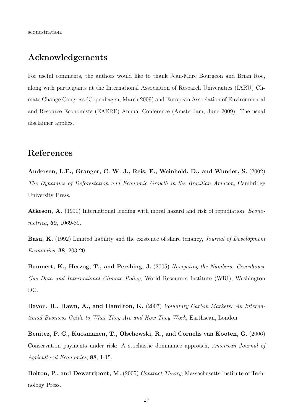sequestration.

## Acknowledgements

For useful comments, the authors would like to thank Jean-Marc Bourgeon and Brian Roe, along with participants at the International Association of Research Universities (IARU) Climate Change Congress (Copenhagen, March 2009) and European Association of Environmental and Resource Economists (EAERE) Annual Conference (Amsterdam, June 2009). The usual disclaimer applies.

## References

Andersen, L.E., Granger, C. W. J., Reis, E., Weinhold, D., and Wunder, S. (2002) *The Dynamics of Deforestation and Economic Growth in the Brazilian Amazon*, Cambridge University Press.

Atkeson, A. (1991) International lending with moral hazard and risk of repudiation, *Econometrica*, 59, 1069-89.

Basu, K. (1992) Limited liability and the existence of share tenancy, *Journal of Development Economics*, 38, 203-20.

Baumert, K., Herzog, T., and Pershing, J. (2005) *Navigating the Numbers: Greenhouse Gas Data and International Climate Policy*, World Resources Institute (WRI), Washington DC.

Bayon, R., Hawn, A., and Hamilton, K. (2007) *Voluntary Carbon Markets: An International Business Guide to What They Are and How They Work*, Earthscan, London.

Benitez, P. C., Kuosmanen, T., Olschewski, R., and Cornelis van Kooten, G. (2006) Conservation payments under risk: A stochastic dominance approach, *American Journal of Agricultural Economics*, 88, 1-15.

Bolton, P., and Dewatripont, M. (2005) *Contract Theory*, Massachusetts Institute of Technology Press.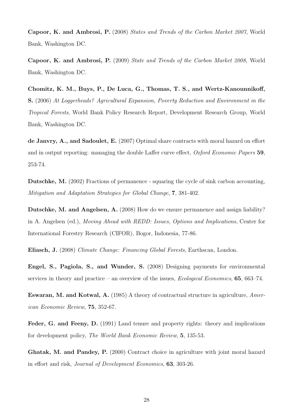Capoor, K. and Ambrosi, P. (2008) *States and Trends of the Carbon Market 2007*, World Bank, Washington DC.

Capoor, K. and Ambrosi, P. (2009) *State and Trends of the Carbon Market 2008,* World Bank, Washington DC.

Chomitz, K. M., Buys, P., De Luca, G., Thomas, T. S., and Wertz-Kanounnikoff, S. (2006) *At Loggerheads? Agricultural Expansion, Poverty Reduction and Environment in the Tropical Forests*, World Bank Policy Research Report, Development Research Group, World Bank, Washington DC.

de Janvry, A., and Sadoulet, E. (2007) Optimal share contracts with moral hazard on effort and in output reporting: managing the double Laffer curve effect, *Oxford Economic Papers* 59, 253-74.

Dutschke, M. (2002) Fractions of permanence - squaring the cycle of sink carbon accounting, *Mitigation and Adaptation Strategies for Global Change*, 7, 381-402.

Dutschke, M. and Angelsen, A. (2008) How do we ensure permanence and assign liability? in A. Angelsen (ed.), *Moving Ahead with REDD: Issues, Options and Implications*, Center for International Forestry Research (CIFOR), Bogor, Indonesia, 77-86.

Eliasch, J. (2008) *Climate Change: Financing Global Forests*, Earthscan, London.

Engel, S., Pagiola, S., and Wunder, S. (2008) Designing payments for environmental services in theory and practice – an overview of the issues, *Ecological Economics*, 65, 663–74.

Eswaran, M. and Kotwal, A. (1985) A theory of contractual structure in agriculture, *American Economic Review*, 75, 352-67.

Feder, G. and Feeny, D. (1991) Land tenure and property rights: theory and implications for development policy, *The World Bank Economic Review*, 5, 135-53.

Ghatak, M. and Pandey, P. (2000) Contract choice in agriculture with joint moral hazard in effort and risk, *Journal of Development Economics*, 63, 303-26.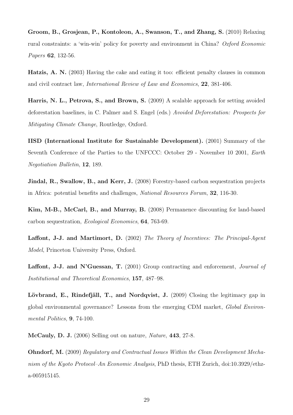Groom, B., Grosjean, P., Kontoleon, A., Swanson, T., and Zhang, S. (2010) Relaxing rural constraints: a 'win-win' policy for poverty and environment in China? *Oxford Economic Papers* 62, 132-56.

Hatzis, A. N. (2003) Having the cake and eating it too: efficient penalty clauses in common and civil contract law, *International Review of Law and Economics*, 22, 381-406.

Harris, N. L., Petrova, S., and Brown, S. (2009) A scalable approach for setting avoided deforestation baselines, in C. Palmer and S. Engel (eds.) *Avoided Deforestation: Prospects for Mitigating Climate Change*, Routledge, Oxford.

IISD (International Institute for Sustainable Development). (2001) Summary of the Seventh Conference of the Parties to the UNFCCC: October 29 - November 10 2001, *Earth Negotiation Bulletin*, 12, 189.

Jindal, R., Swallow, B., and Kerr, J. (2008) Forestry-based carbon sequestration projects in Africa: potential benefits and challenges, *National Resources Forum*, 32, 116-30.

Kim, M-B., McCarl, B., and Murray, B. (2008) Permanence discounting for land-based carbon sequestration, *Ecological Economics*, 64, 763-69.

Laffont, J-J. and Martimort, D. (2002) *The Theory of Incentives: The Principal-Agent Model*, Princeton University Press, Oxford.

Laffont, J-J. and N'Guessan, T. (2001) Group contracting and enforcement, *Journal of Institutional and Theoretical Economics*, 157, 487–98.

Lövbrand, E., Rindefjäll, T., and Nordqvist, J. (2009) Closing the legitimacy gap in global environmental governance? Lessons from the emerging CDM market, *Global Environmental Politics*, 9, 74-100.

McCauly, D. J. (2006) Selling out on nature, *Nature*, 443, 27-8.

Ohndorf, M. (2009) *Regulatory and Contractual Issues Within the Clean Development Mechanism of the Kyoto Protocol–An Economic Analysis*, PhD thesis, ETH Zurich, doi:10.3929/ethza-005915145.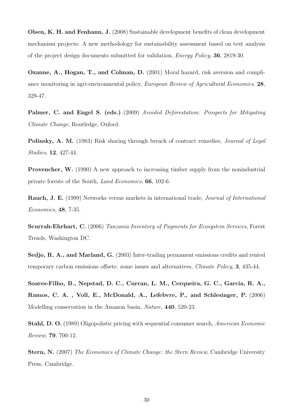Olsen, K. H. and Fenhann, J. (2008) Sustainable development benefits of clean development mechanism projects: A new methodology for sustainability assessment based on text analysis of the project design documents submitted for validation, *Energy Policy*, 36, 2819-30.

Ozanne, A., Hogan, T., and Colman, D. (2001) Moral hazard, risk aversion and compliance monitoring in agri-environmental policy, *European Review of Agricultural Economics*, 28, 329-47.

Palmer, C. and Engel S. (eds.) (2009) *Avoided Deforestation: Prospects for Mitigating Climate Change*, Routledge, Oxford.

Polinsky, A. M. (1983) Risk sharing through breach of contract remedies, *Journal of Legal Studies*, 12, 427-44.

Provencher, W. (1990) A new approach to increasing timber supply from the nonindustrial private forests of the South, *Land Economics*, 66, 102-6.

Rauch, J. E. (1999) Networks versus markets in international trade, *Journal of International Economics*, 48, 7-35.

Scurrah-Ehrhart, C. (2006) *Tanzania Inventory of Payments for Ecosystem Services*, Forest Trends, Washington DC.

Sedjo, R. A., and Marland, G. (2003) Inter-trading permanent emissions credits and rented temporary carbon emissions offsets: some issues and alternatives, *Climate Policy*, 3, 435-44.

Soares-Filho, B., Nepstad, D. C., Curran, L. M., Cerqueira, G. C., Garcia, R. A., Ramos, C. A. , Voll, E., McDonald, A., Lefebvre, P., and Schlesinger, P. (2006) Modelling conservation in the Amazon basin, *Nature*, 440, 520-23.

Stahl, D. O. (1989) Oligopolistic pricing with sequential consumer search, *American Economic Review*, 79, 700-12.

Stern, N. (2007) *The Economics of Climate Change: the Stern Review*, Cambridge University Press, Cambridge.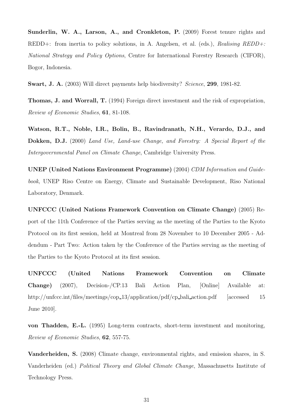Sunderlin, W. A., Larson, A., and Cronkleton, P. (2009) Forest tenure rights and REDD+: from inertia to policy solutions, in A. Angelsen, et al. (eds.), *Realising REDD+: National Strategy and Policy Options*, Centre for International Forestry Research (CIFOR), Bogor, Indonesia.

Swart, J. A. (2003) Will direct payments help biodiversity? *Science*, 299, 1981-82.

Thomas, J. and Worrall, T. (1994) Foreign direct investment and the risk of expropriation, *Review of Economic Studies*, 61, 81-108.

Watson, R.T., Noble, I.R., Bolin, B., Ravindranath, N.H., Verardo, D.J., and Dokken, D.J. (2000) *Land Use, Land-use Change, and Forestry: A Special Report of the Intergovernmental Panel on Climate Change*, Cambridge University Press.

UNEP (United Nations Environment Programme) (2004) *CDM Information and Guidebook*, UNEP Riso Centre on Energy, Climate and Sustainable Development, Riso National Laboratory, Denmark.

UNFCCC (United Nations Framework Convention on Climate Change) (2005) Report of the 11th Conference of the Parties serving as the meeting of the Parties to the Kyoto Protocol on its first session, held at Montreal from 28 November to 10 December 2005 - Addendum - Part Two: Action taken by the Conference of the Parties serving as the meeting of the Parties to the Kyoto Protocol at its first session.

UNFCCC (United Nations Framework Convention on Climate Change) (2007), Decision-/CP.13 Bali Action Plan, [Online] Available at: http://unfccc.int/files/meetings/cop\_13/application/pdf/cp\_bali\_action.pdf [accessed 15 June 2010].

von Thadden, E.-L. (1995) Long-term contracts, short-term investment and monitoring, *Review of Economic Studies*, 62, 557-75.

Vanderheiden, S. (2008) Climate change, environmental rights, and emission shares, in S. Vanderheiden (ed.) *Political Theory and Global Climate Change*, Massachusetts Institute of Technology Press.